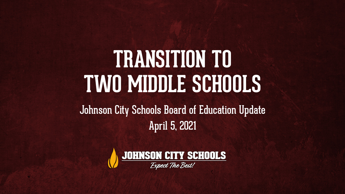## **TRANSITION TO TWO MIDDLE SCHOOLS**

Johnson City Schools Board of Education Update April 5, 2021

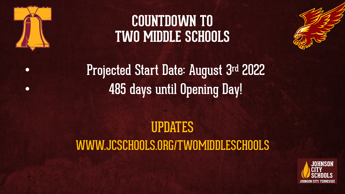

### **COUNTDOWN TO TWO MIDDLE SCHOOLS**



• Projected Start Date: August 3rd 2022 • 485 days until Opening Day!

### UPDATES WWW.JCSCHOOLS.ORG/TWOMIDDLESCHOOLS

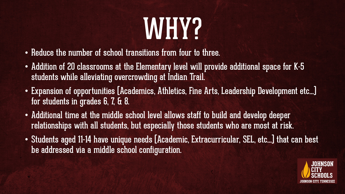# WHY2

- Reduce the number of school transitions from four to three.
- Addition of 20 classrooms at the Elementary level will provide additional space for K-5 students while alleviating overcrowding at Indian Trail.
- Expansion of opportunities (Academics, Athletics, Fine Arts, Leadership Development etc…) for students in grades 6, 7, & 8.
- Additional time at the middle school level allows staff to build and develop deeper relationships with all students, but especially those students who are most at risk.
- Students aged 11-14 have unique needs (Academic, Extracurricular, SEL, etc…) that can best be addressed via a middle school configuration.

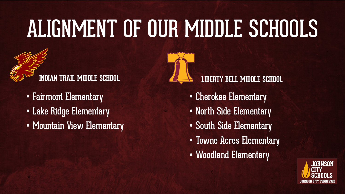# ALIGNMENT OF OUR MIDDLE SCHOOLS



- Fairmont Elementary
- Lake Ridge Elementary
- Mountain View Elementary



#### **LIBERTY BELL MIDDLE SCHOOL**

- Cherokee Elementary
- North Side Elementary
- South Side Elementary
- Towne Acres Elementary
- Woodland Elementary

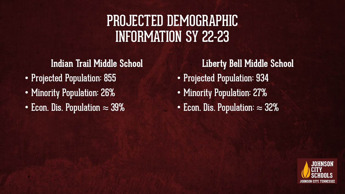### PROJECTED DEMOGRAPHIC INFORMATION SY 22-23

#### **Indian Trail Middle School**

- Projected Population: 855
- Minority Population: 26%
- Econ. Dis. Population  $\approx 39\%$

**Liberty Bell Middle School** • Projected Population: 934 • Minority Population: 27%

• Econ. Dis. Population: ≈ 32%

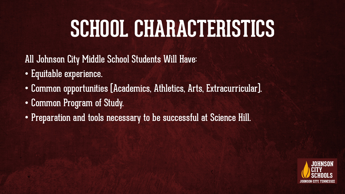### **SCHOOL CHARACTERISTICS**

All Johnson City Middle School Students Will Have:

- Equitable experience.
- Common opportunities (Academics, Athletics, Arts, Extracurricular).
- Common Program of Study.
- Preparation and tools necessary to be successful at Science Hill.

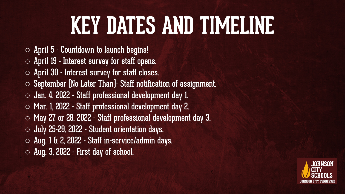## **KEY DATES AND TIMELINE**

- $\circ$  April 5 Countdown to launch begins!
- $\circ$  April 19 Interest survey for staff opens.
- o April 30 Interest survey for staff closes.
- $\circ$  September [No Later Than]- Staff notification of assignment.
- o Jan. 4, 2022 Staff professional development day 1.
- o Mar. 1, 2022 Staff professional development day 2.
- o May 27 or 28, 2022 Staff professional development day 3.
- o July 25-29, 2022 Student orientation days.
- o Aug. 1 & 2, 2022 Staff in-service/admin days.
- $\circ$  Aug. 3, 2022 First day of school.

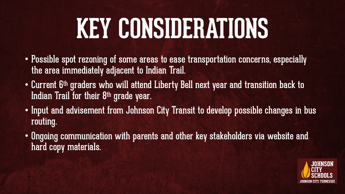# **KEY CONSIDERATIONS**

- Possible spot rezoning of some areas to ease transportation concerns, especially the area immediately adjacent to Indian Trail.
- Current 6th graders who will attend Liberty Bell next year and transition back to Indian Trail for their 8<sup>th</sup> grade year.
- Input and advisement from Johnson City Transit to develop possible changes in bus routing.
- Ongoing communication with parents and other key stakeholders via website and hard copy materials.